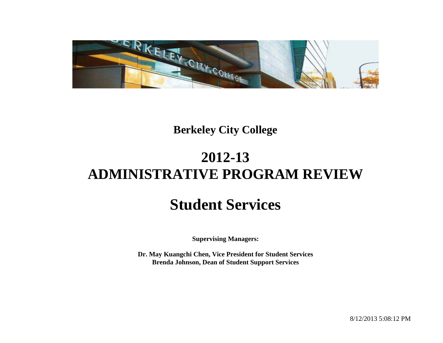

## **Berkeley City College**

# **2012-13 ADMINISTRATIVE PROGRAM REVIEW**

# **Student Services**

**Supervising Managers:**

**Dr. May Kuangchi Chen, Vice President for Student Services Brenda Johnson, Dean of Student Support Services**

8/12/2013 5:08:12 PM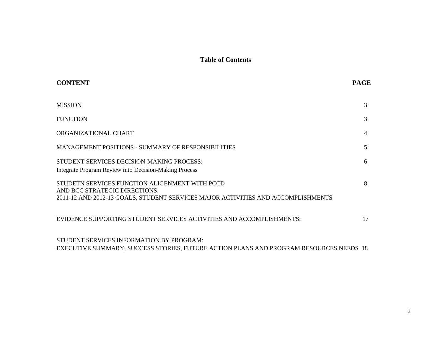## **Table of Contents**

| <b>CONTENT</b>                                                                                                                                                      | <b>PAGE</b>    |
|---------------------------------------------------------------------------------------------------------------------------------------------------------------------|----------------|
| <b>MISSION</b>                                                                                                                                                      | 3              |
| <b>FUNCTION</b>                                                                                                                                                     | 3              |
| ORGANIZATIONAL CHART                                                                                                                                                | $\overline{4}$ |
| MANAGEMENT POSITIONS - SUMMARY OF RESPONSIBILITIES                                                                                                                  | 5              |
| STUDENT SERVICES DECISION-MAKING PROCESS:<br>Integrate Program Review into Decision-Making Process                                                                  | 6              |
| STUDETN SERVICES FUNCTION ALIGENMENT WITH PCCD<br>AND BCC STRATEGIC DIRECTIONS:<br>2011-12 AND 2012-13 GOALS, STUDENT SERVICES MAJOR ACTIVITIES AND ACCOMPLISHMENTS | 8              |
| EVIDENCE SUPPORTING STUDENT SERVICES ACTIVITIES AND ACCOMPLISHMENTS:                                                                                                | 17             |
| STUDENT SERVICES INFORMATION BY PROGRAM:<br>EXECUTIVE SUMMARY, SUCCESS STORIES, FUTURE ACTION PLANS AND PROGRAM RESOURCES NEEDS 18                                  |                |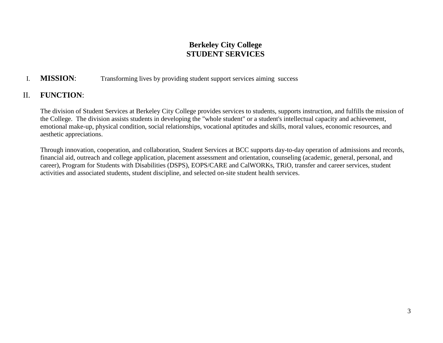## **Berkeley City College STUDENT SERVICES**

## I. **MISSION**: Transforming lives by providing student support services aiming success

## II. **FUNCTION**:

The division of Student Services at Berkeley City College provides services to students, supports instruction, and fulfills the mission of the College. The division assists students in developing the "whole student" or a student's intellectual capacity and achievement, emotional make-up, physical condition, social relationships, vocational aptitudes and skills, moral values, economic resources, and aesthetic appreciations.

Through innovation, cooperation, and collaboration, Student Services at BCC supports day-to-day operation of admissions and records, financial aid, outreach and college application, placement assessment and orientation, counseling (academic, general, personal, and career), Program for Students with Disabilities (DSPS), EOPS/CARE and CalWORKs, TRiO, transfer and career services, student activities and associated students, student discipline, and selected on-site student health services.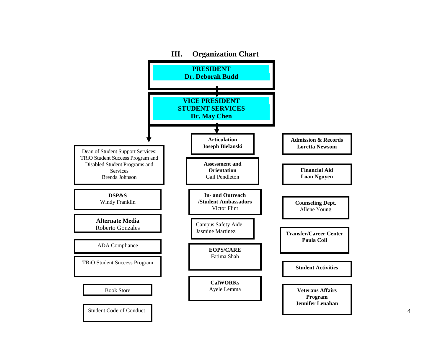

4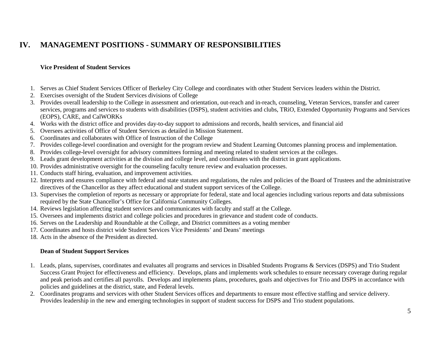## **IV. MANAGEMENT POSITIONS - SUMMARY OF RESPONSIBILITIES**

### **Vice President of Student Services**

- 1. Serves as Chief Student Services Officer of Berkeley City College and coordinates with other Student Services leaders within the District.
- 2. Exercises oversight of the Student Services divisions of College
- 3. Provides overall leadership to the College in assessment and orientation, out-reach and in-reach, counseling, Veteran Services, transfer and career services, programs and services to students with disabilities (DSPS), student activities and clubs, TRiO, Extended Opportunity Programs and Services (EOPS), CARE, and CalWORKs
- 4. Works with the district office and provides day-to-day support to admissions and records, health services, and financial aid
- 5. Oversees activities of Office of Student Services as detailed in Mission Statement.
- 6. Coordinates and collaborates with Office of Instruction of the College
- 7. Provides college-level coordination and oversight for the program review and Student Learning Outcomes planning process and implementation.
- 8. Provides college-level oversight for advisory committees forming and meeting related to student services at the colleges.
- 9. Leads grant development activities at the division and college level, and coordinates with the district in grant applications.
- 10. Provides administrative oversight for the counseling faculty tenure review and evaluation processes.
- 11. Conducts staff hiring, evaluation, and improvement activities.
- 12. Interprets and ensures compliance with federal and state statutes and regulations, the rules and policies of the Board of Trustees and the administrative directives of the Chancellor as they affect educational and student support services of the College.
- 13. Supervises the completion of reports as necessary or appropriate for federal, state and local agencies including various reports and data submissions required by the State Chancellor's Office for California Community Colleges.
- 14. Reviews legislation affecting student services and communicates with faculty and staff at the College.
- 15. Oversees and implements district and college policies and procedures in grievance and student code of conducts.
- 16. Serves on the Leadership and Roundtable at the College, and District committees as a voting member
- 17. Coordinates and hosts district wide Student Services Vice Presidents' and Deans' meetings
- 18. Acts in the absence of the President as directed.

#### **Dean of Student Support Services**

- 1. Leads, plans, supervises, coordinates and evaluates all programs and services i[n Disabled Students Programs & Services \(DSPS\) and Trio Student](http://www.cccco.edu/LinkClick.aspx?link=616&tabid=645)  [Success Grant Project f](http://www.cccco.edu/LinkClick.aspx?link=616&tabid=645)or effectiveness and efficiency. Develops, plans and implements work schedules to ensure necessary coverage during regular and peak periods and certifies all payrolls. Develops and implements plans, procedures, goals and objectives for Trio and DSPS in accordance with policies and guidelines at the district, state, and Federal levels.
- 2. Coordinates programs and services with other Student Services offices and departments to ensure most effective staffing and service delivery. Provides leadership in the new and emerging technologies in support of student success for DSPS and Trio student populations.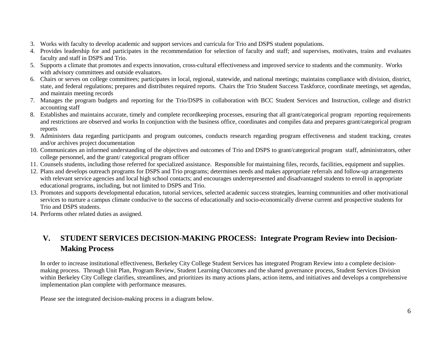- 3. Works with faculty to develop academic and support services and curricula for Trio and DSPS student populations.
- 4. Provides leadership for and participates in the recommendation for selection of faculty and staff; and supervises, motivates, trains and evaluates faculty and staff in DSPS and Trio.
- 5. Supports a climate that promotes and expects innovation, cross-cultural effectiveness and improved service to students and the community. Works with advisory committees and outside evaluators.
- 6. Chairs or serves on college committees; participates in local, regional, statewide, and national meetings; maintains compliance with division, district, state, and federal regulations; prepares and distributes required reports. Chairs the Trio Student Success Taskforce, coordinate meetings, set agendas, and maintain meeting records
- 7. Manages the program budgets and reporting for the Trio/DSPS in collaboration with BCC Student Services and Instruction, college and district accounting staff
- 8. Establishes and maintains accurate, timely and complete recordkeeping processes, ensuring that all grant/categorical program reporting requirements and restrictions are observed and works In conjunction with the business office, coordinates and compiles data and prepares grant/categorical program reports
- 9. Administers data regarding participants and program outcomes, conducts research regarding program effectiveness and student tracking, creates and/or archives project documentation
- 10. Communicates an informed understanding of the objectives and outcomes of Trio and DSPS to grant/categorical program staff, administrators, other college personnel, and the grant/ categorical program officer
- 11. Counsels students, including those referred for specialized assistance. Responsible for maintaining files, records, facilities, equipment and supplies.
- 12. Plans and develops outreach programs for DSPS and Trio programs; determines needs and makes appropriate referrals and follow-up arrangements with relevant service agencies and local high school contacts; and encourages underrepresented and disadvantaged students to enroll in appropriate educational programs, including, but not limited to DSPS and Trio.
- 13. Promotes and supports developmental education, tutorial services, selected academic success strategies, learning communities and other motivational services to nurture a campus climate conducive to the success of educationally and socio-economically diverse current and prospective students for Trio and DSPS students.
- 14. Performs other related duties as assigned.

## **V. STUDENT SERVICES DECISION-MAKING PROCESS: Integrate Program Review into Decision-Making Process**

In order to increase institutional effectiveness, Berkeley City College Student Services has integrated Program Review into a complete decisionmaking process. Through Unit Plan, Program Review, Student Learning Outcomes and the shared governance process, Student Services Division within Berkeley City College clarifies, streamlines, and prioritizes its many actions plans, action items, and initiatives and develops a comprehensive implementation plan complete with performance measures.

Please see the integrated decision-making process in a diagram below.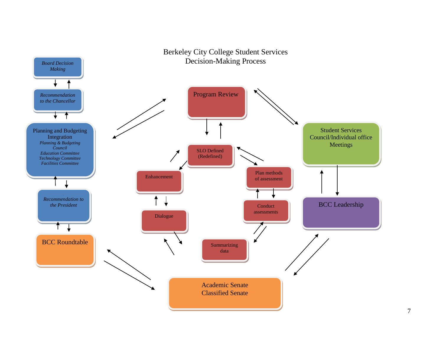

## 7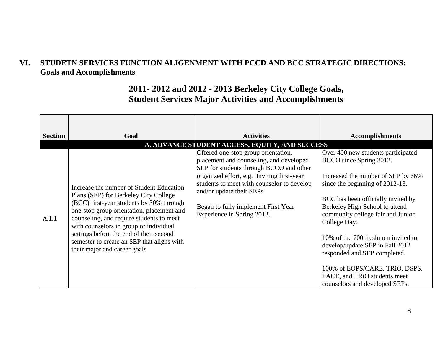## **VI. STUDETN SERVICES FUNCTION ALIGENMENT WITH PCCD AND BCC STRATEGIC DIRECTIONS: Goals and Accomplishments**

## **2011- 2012 and 2012 - 2013 Berkeley City College Goals, Student Services Major Activities and Accomplishments**

| <b>Section</b> | Goal                                                                                                                                                                                                                                                                                                                                                                                      | <b>Activities</b><br>A. ADVANCE STUDENT ACCESS, EQUITY, AND SUCCESS                                                                                                                                                                                                                                                     | <b>Accomplishments</b>                                                                                                                                                                                                                                                                                                                                                                                                                                                           |
|----------------|-------------------------------------------------------------------------------------------------------------------------------------------------------------------------------------------------------------------------------------------------------------------------------------------------------------------------------------------------------------------------------------------|-------------------------------------------------------------------------------------------------------------------------------------------------------------------------------------------------------------------------------------------------------------------------------------------------------------------------|----------------------------------------------------------------------------------------------------------------------------------------------------------------------------------------------------------------------------------------------------------------------------------------------------------------------------------------------------------------------------------------------------------------------------------------------------------------------------------|
| A.1.1          | Increase the number of Student Education<br>Plans (SEP) for Berkeley City College<br>(BCC) first-year students by 30% through<br>one-stop group orientation, placement and<br>counseling, and require students to meet<br>with counselors in group or individual<br>settings before the end of their second<br>semester to create an SEP that aligns with<br>their major and career goals | Offered one-stop group orientation,<br>placement and counseling, and developed<br>SEP for students through BCCO and other<br>organized effort, e.g. Inviting first-year<br>students to meet with counselor to develop<br>and/or update their SEPs.<br>Began to fully implement First Year<br>Experience in Spring 2013. | Over 400 new students participated<br>BCCO since Spring 2012.<br>Increased the number of SEP by 66%<br>since the beginning of 2012-13.<br>BCC has been officially invited by<br>Berkeley High School to attend<br>community college fair and Junior<br>College Day.<br>10% of the 700 freshmen invited to<br>develop/update SEP in Fall 2012<br>responded and SEP completed.<br>100% of EOPS/CARE, TRiO, DSPS,<br>PACE, and TRiO students meet<br>counselors and developed SEPs. |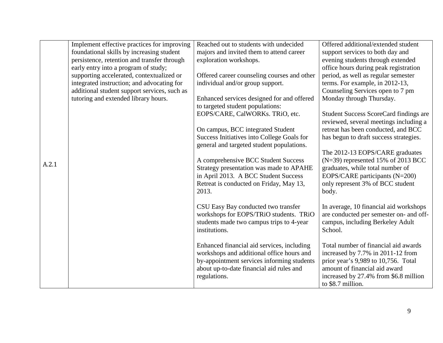|       | Implement effective practices for improving  | Reached out to students with undecided      | Offered additional/extended student           |
|-------|----------------------------------------------|---------------------------------------------|-----------------------------------------------|
|       | foundational skills by increasing student    | majors and invited them to attend career    | support services to both day and              |
|       | persistence, retention and transfer through  | exploration workshops.                      | evening students through extended             |
|       | early entry into a program of study;         |                                             | office hours during peak registration         |
|       | supporting accelerated, contextualized or    | Offered career counseling courses and other | period, as well as regular semester           |
|       | integrated instruction; and advocating for   | individual and/or group support.            | terms. For example, in 2012-13,               |
|       | additional student support services, such as |                                             | Counseling Services open to 7 pm              |
|       | tutoring and extended library hours.         | Enhanced services designed for and offered  | Monday through Thursday.                      |
|       |                                              | to targeted student populations:            |                                               |
|       |                                              | EOPS/CARE, CalWORKs. TRiO, etc.             | <b>Student Success ScoreCard findings are</b> |
|       |                                              |                                             | reviewed, several meetings including a        |
|       |                                              | On campus, BCC integrated Student           | retreat has been conducted, and BCC           |
|       |                                              | Success Initiatives into College Goals for  | has begun to draft success strategies.        |
|       |                                              | general and targeted student populations.   |                                               |
|       |                                              |                                             | The 2012-13 EOPS/CARE graduates               |
|       |                                              | A comprehensive BCC Student Success         | $(N=39)$ represented 15% of 2013 BCC          |
| A.2.1 |                                              | Strategy presentation was made to APAHE     | graduates, while total number of              |
|       |                                              | in April 2013. A BCC Student Success        | EOPS/CARE participants (N=200)                |
|       |                                              | Retreat is conducted on Friday, May 13,     | only represent 3% of BCC student              |
|       |                                              | 2013.                                       | body.                                         |
|       |                                              |                                             |                                               |
|       |                                              | CSU Easy Bay conducted two transfer         | In average, 10 financial aid workshops        |
|       |                                              | workshops for EOPS/TRiO students. TRiO      | are conducted per semester on- and off-       |
|       |                                              | students made two campus trips to 4-year    | campus, including Berkeley Adult              |
|       |                                              | institutions.                               | School.                                       |
|       |                                              |                                             |                                               |
|       |                                              | Enhanced financial aid services, including  | Total number of financial aid awards          |
|       |                                              | workshops and additional office hours and   | increased by 7.7% in 2011-12 from             |
|       |                                              | by-appointment services informing students  | prior year's 9,989 to 10,756. Total           |
|       |                                              | about up-to-date financial aid rules and    | amount of financial aid award                 |
|       |                                              | regulations.                                | increased by 27.4% from \$6.8 million         |
|       |                                              |                                             | to \$8.7 million.                             |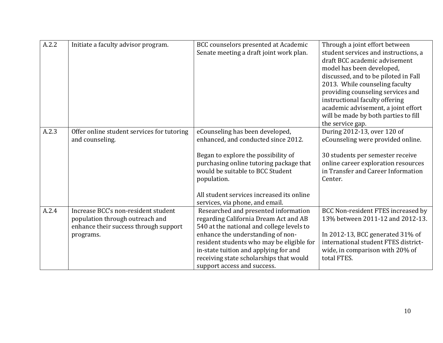| A.2.2 | Initiate a faculty advisor program.                                                                                          | BCC counselors presented at Academic<br>Senate meeting a draft joint work plan.                                                                                                                                                                                                                                                 | Through a joint effort between<br>student services and instructions, a<br>draft BCC academic advisement<br>model has been developed,<br>discussed, and to be piloted in Fall<br>2013. While counseling faculty<br>providing counseling services and<br>instructional faculty offering<br>academic advisement, a joint effort<br>will be made by both parties to fill<br>the service gap. |
|-------|------------------------------------------------------------------------------------------------------------------------------|---------------------------------------------------------------------------------------------------------------------------------------------------------------------------------------------------------------------------------------------------------------------------------------------------------------------------------|------------------------------------------------------------------------------------------------------------------------------------------------------------------------------------------------------------------------------------------------------------------------------------------------------------------------------------------------------------------------------------------|
| A.2.3 | Offer online student services for tutoring<br>and counseling.                                                                | eCounseling has been developed,<br>enhanced, and conducted since 2012.<br>Began to explore the possibility of<br>purchasing online tutoring package that<br>would be suitable to BCC Student<br>population.<br>All student services increased its online<br>services, via phone, and email.                                     | During 2012-13, over 120 of<br>eCounseling were provided online.<br>30 students per semester receive<br>online career exploration resources<br>in Transfer and Career Information<br>Center.                                                                                                                                                                                             |
| A.2.4 | Increase BCC's non-resident student<br>population through outreach and<br>enhance their success through support<br>programs. | Researched and presented information<br>regarding California Dream Act and AB<br>540 at the national and college levels to<br>enhance the understanding of non-<br>resident students who may be eligible for<br>in-state tuition and applying for and<br>receiving state scholarships that would<br>support access and success. | BCC Non-resident FTES increased by<br>13% between 2011-12 and 2012-13.<br>In 2012-13, BCC generated $31\%$ of<br>international student FTES district-<br>wide, in comparison with 20% of<br>total FTES.                                                                                                                                                                                  |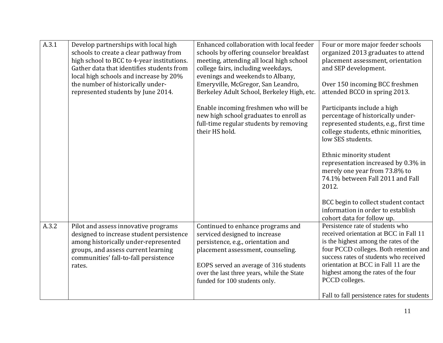| A.3.1 | Develop partnerships with local high<br>schools to create a clear pathway from<br>high school to BCC to 4-year institutions.<br>Gather data that identifies students from<br>local high schools and increase by 20%<br>the number of historically under-<br>represented students by June 2014. | Enhanced collaboration with local feeder<br>schools by offering counselor breakfast<br>meeting, attending all local high school<br>college fairs, including weekdays,<br>evenings and weekends to Albany,<br>Emeryville, McGregor, San Leandro,<br>Berkeley Adult School, Berkeley High, etc. | Four or more major feeder schools<br>organized 2013 graduates to attend<br>placement assessment, orientation<br>and SEP development.<br>Over 150 incoming BCC freshmen<br>attended BCCO in spring 2013.                                                                                                   |
|-------|------------------------------------------------------------------------------------------------------------------------------------------------------------------------------------------------------------------------------------------------------------------------------------------------|-----------------------------------------------------------------------------------------------------------------------------------------------------------------------------------------------------------------------------------------------------------------------------------------------|-----------------------------------------------------------------------------------------------------------------------------------------------------------------------------------------------------------------------------------------------------------------------------------------------------------|
|       |                                                                                                                                                                                                                                                                                                | Enable incoming freshmen who will be<br>new high school graduates to enroll as<br>full-time regular students by removing<br>their HS hold.                                                                                                                                                    | Participants include a high<br>percentage of historically under-<br>represented students, e.g., first time<br>college students, ethnic minorities,<br>low SES students.                                                                                                                                   |
|       |                                                                                                                                                                                                                                                                                                |                                                                                                                                                                                                                                                                                               | Ethnic minority student<br>representation increased by 0.3% in<br>merely one year from 73.8% to<br>74.1% between Fall 2011 and Fall<br>2012.                                                                                                                                                              |
|       |                                                                                                                                                                                                                                                                                                |                                                                                                                                                                                                                                                                                               | BCC begin to collect student contact<br>information in order to establish<br>cohort data for follow up.                                                                                                                                                                                                   |
| A.3.2 | Pilot and assess innovative programs<br>designed to increase student persistence<br>among historically under-represented<br>groups, and assess current learning<br>communities' fall-to-fall persistence<br>rates.                                                                             | Continued to enhance programs and<br>serviced designed to increase<br>persistence, e.g., orientation and<br>placement assessment, counseling.<br>EOPS served an average of 316 students<br>over the last three years, while the State<br>funded for 100 students only.                        | Persistence rate of students who<br>received orientation at BCC in Fall 11<br>is the highest among the rates of the<br>four PCCD colleges. Both retention and<br>success rates of students who received<br>orientation at BCC in Fall 11 are the<br>highest among the rates of the four<br>PCCD colleges. |
|       |                                                                                                                                                                                                                                                                                                |                                                                                                                                                                                                                                                                                               | Fall to fall persistence rates for students                                                                                                                                                                                                                                                               |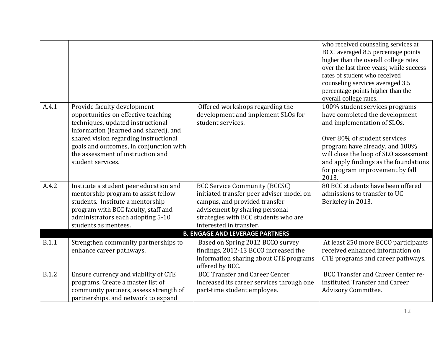|              |                                                                            |                                           | who received counseling services at<br>BCC averaged 8.5 percentage points<br>higher than the overall college rates |
|--------------|----------------------------------------------------------------------------|-------------------------------------------|--------------------------------------------------------------------------------------------------------------------|
|              |                                                                            |                                           | over the last three years; while success                                                                           |
|              |                                                                            |                                           | rates of student who received                                                                                      |
|              |                                                                            |                                           | counseling services averaged 3.5                                                                                   |
|              |                                                                            |                                           | percentage points higher than the                                                                                  |
|              |                                                                            |                                           | overall college rates.                                                                                             |
| A.4.1        | Provide faculty development                                                | Offered workshops regarding the           | 100% student services programs                                                                                     |
|              | opportunities on effective teaching                                        | development and implement SLOs for        | have completed the development                                                                                     |
|              | techniques, updated instructional<br>information (learned and shared), and | student services.                         | and implementation of SLOs.                                                                                        |
|              | shared vision regarding instructional                                      |                                           | Over 80% of student services                                                                                       |
|              | goals and outcomes, in conjunction with                                    |                                           | program have already, and 100%                                                                                     |
|              | the assessment of instruction and                                          |                                           | will close the loop of SLO assessment                                                                              |
|              | student services.                                                          |                                           | and apply findings as the foundations                                                                              |
|              |                                                                            |                                           | for program improvement by fall                                                                                    |
|              |                                                                            |                                           | 2013.                                                                                                              |
| A.4.2        | Institute a student peer education and                                     | <b>BCC Service Community (BCCSC)</b>      | 80 BCC students have been offered                                                                                  |
|              | mentorship program to assist fellow                                        | initiated transfer peer adviser model on  | admissions to transfer to UC                                                                                       |
|              | students. Institute a mentorship                                           | campus, and provided transfer             | Berkeley in 2013.                                                                                                  |
|              | program with BCC faculty, staff and                                        | advisement by sharing personal            |                                                                                                                    |
|              | administrators each adopting 5-10                                          | strategies with BCC students who are      |                                                                                                                    |
|              | students as mentees.                                                       | interested in transfer.                   |                                                                                                                    |
|              |                                                                            | <b>B. ENGAGE AND LEVERAGE PARTNERS</b>    |                                                                                                                    |
| <b>B.1.1</b> | Strengthen community partnerships to                                       | Based on Spring 2012 BCCO survey          | At least 250 more BCCO participants                                                                                |
|              | enhance career pathways.                                                   | findings, 2012-13 BCCO increased the      | received enhanced information on                                                                                   |
|              |                                                                            | information sharing about CTE programs    | CTE programs and career pathways.                                                                                  |
|              |                                                                            | offered by BCC.                           |                                                                                                                    |
| <b>B.1.2</b> | Ensure currency and viability of CTE                                       | <b>BCC Transfer and Career Center</b>     | <b>BCC Transfer and Career Center re-</b>                                                                          |
|              | programs. Create a master list of                                          | increased its career services through one | instituted Transfer and Career                                                                                     |
|              | community partners, assess strength of                                     | part-time student employee.               | Advisory Committee.                                                                                                |
|              | partnerships, and network to expand                                        |                                           |                                                                                                                    |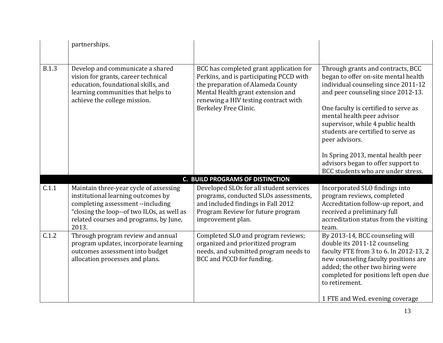|              | partnerships.                                                                                                                                                                                                      |                                                                                                                                                                                                                               |                                                                                                                                                                                                                                                                                                                                                                                                                                             |
|--------------|--------------------------------------------------------------------------------------------------------------------------------------------------------------------------------------------------------------------|-------------------------------------------------------------------------------------------------------------------------------------------------------------------------------------------------------------------------------|---------------------------------------------------------------------------------------------------------------------------------------------------------------------------------------------------------------------------------------------------------------------------------------------------------------------------------------------------------------------------------------------------------------------------------------------|
| <b>B.1.3</b> | Develop and communicate a shared<br>vision for grants, career technical<br>education, foundational skills, and<br>learning communities that helps to<br>achieve the college mission.                               | BCC has completed grant application for<br>Perkins, and is participating PCCD with<br>the preparation of Alameda County<br>Mental Health grant extension and<br>renewing a HIV testing contract with<br>Berkeley Free Clinic. | Through grants and contracts, BCC<br>began to offer on-site mental health<br>individual counseling since 2011-12<br>and peer counseling since 2012-13.<br>One faculty is certified to serve as<br>mental health peer advisor<br>supervisor, while 4 public health<br>students are certified to serve as<br>peer advisors.<br>In Spring 2013, mental health peer<br>advisors began to offer support to<br>BCC students who are under stress. |
|              |                                                                                                                                                                                                                    | <b>C. BUILD PROGRAMS OF DISTINCTION</b>                                                                                                                                                                                       |                                                                                                                                                                                                                                                                                                                                                                                                                                             |
| C.1.1        | Maintain three-year cycle of assessing<br>institutional learning outcomes by<br>completing assessment --including<br>"closing the loop--of two ILOs, as well as<br>related courses and programs, by June,<br>2013. | Developed SLOs for all student services<br>programs, conducted SLOs assessments,<br>and included findings in Fall 2012<br>Program Review for future program<br>improvement plan.                                              | Incorporated SLO findings into<br>program reviews, completed<br>Accreditation follow-up report, and<br>received a preliminary full<br>accreditation status from the visiting<br>team.                                                                                                                                                                                                                                                       |
| C.1.2        | Through program review and annual<br>program updates, incorporate learning<br>outcomes assessment into budget<br>allocation processes and plans.                                                                   | Completed SLO and program reviews;<br>organized and prioritized program<br>needs, and submitted program needs to<br>BCC and PCCD for funding.                                                                                 | By 2013-14, BCC counseling will<br>double its 2011-12 counseling<br>faculty FTE from 3 to 6. In 2012-13, 2<br>new counseling faculty positions are<br>added; the other two hiring were<br>completed for positions left open due<br>to retirement.<br>1 FTE and Wed. evening coverage                                                                                                                                                        |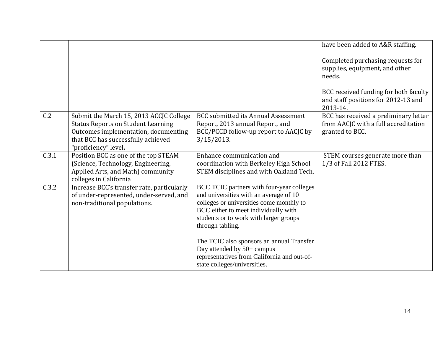|       |                                                                                                                                                                                            |                                                                                                                                                                                                                                                                                    | have been added to A&R staffing.                                                                                                                              |
|-------|--------------------------------------------------------------------------------------------------------------------------------------------------------------------------------------------|------------------------------------------------------------------------------------------------------------------------------------------------------------------------------------------------------------------------------------------------------------------------------------|---------------------------------------------------------------------------------------------------------------------------------------------------------------|
|       |                                                                                                                                                                                            |                                                                                                                                                                                                                                                                                    | Completed purchasing requests for<br>supplies, equipment, and other<br>needs.<br>BCC received funding for both faculty<br>and staff positions for 2012-13 and |
|       |                                                                                                                                                                                            |                                                                                                                                                                                                                                                                                    | 2013-14.                                                                                                                                                      |
| C.2   | Submit the March 15, 2013 ACCJC College<br><b>Status Reports on Student Learning</b><br>Outcomes implementation, documenting<br>that BCC has successfully achieved<br>"proficiency" level. | <b>BCC</b> submitted its Annual Assessment<br>Report, 2013 annual Report, and<br>BCC/PCCD follow-up report to AACJC by<br>$3/15/2013$ .                                                                                                                                            | BCC has received a preliminary letter<br>from AACJC with a full accreditation<br>granted to BCC.                                                              |
| C.3.1 | Position BCC as one of the top STEAM<br>(Science, Technology, Engineering,<br>Applied Arts, and Math) community<br>colleges in California                                                  | Enhance communication and<br>coordination with Berkeley High School<br>STEM disciplines and with Oakland Tech.                                                                                                                                                                     | STEM courses generate more than<br>1/3 of Fall 2012 FTES.                                                                                                     |
| C.3.2 | Increase BCC's transfer rate, particularly<br>of under-represented, under-served, and<br>non-traditional populations.                                                                      | BCC TCIC partners with four-year colleges<br>and universities with an average of 10<br>colleges or universities come monthly to<br>BCC either to meet individually with<br>students or to work with larger groups<br>through tabling.<br>The TCIC also sponsors an annual Transfer |                                                                                                                                                               |
|       |                                                                                                                                                                                            | Day attended by 50+ campus<br>representatives from California and out-of-<br>state colleges/universities.                                                                                                                                                                          |                                                                                                                                                               |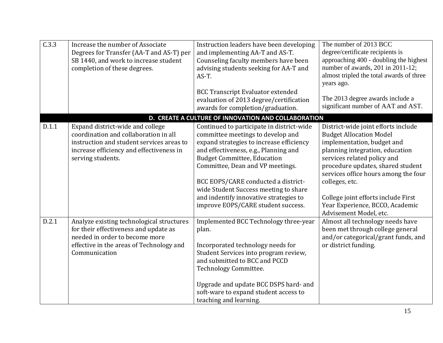| C.3.3 | Increase the number of Associate<br>Degrees for Transfer (AA-T and AS-T) per<br>SB 1440, and work to increase student<br>completion of these degrees.                                   | Instruction leaders have been developing<br>and implementing AA-T and AS-T.<br>Counseling faculty members have been<br>advising students seeking for AA-T and<br>AS-T.<br><b>BCC Transcript Evaluator extended</b>                                                                                                                                                                                            | The number of 2013 BCC<br>degree/certificate recipients is<br>approaching 400 - doubling the highest<br>number of awards, 201 in 2011-12;<br>almost tripled the total awards of three<br>years ago.<br>The 2013 degree awards include a                                                                                                                                  |
|-------|-----------------------------------------------------------------------------------------------------------------------------------------------------------------------------------------|---------------------------------------------------------------------------------------------------------------------------------------------------------------------------------------------------------------------------------------------------------------------------------------------------------------------------------------------------------------------------------------------------------------|--------------------------------------------------------------------------------------------------------------------------------------------------------------------------------------------------------------------------------------------------------------------------------------------------------------------------------------------------------------------------|
|       |                                                                                                                                                                                         | evaluation of 2013 degree/certification<br>awards for completion/graduation.                                                                                                                                                                                                                                                                                                                                  | significant number of AAT and AST.                                                                                                                                                                                                                                                                                                                                       |
|       |                                                                                                                                                                                         | D. CREATE A CULTURE OF INNOVATION AND COLLABORATION                                                                                                                                                                                                                                                                                                                                                           |                                                                                                                                                                                                                                                                                                                                                                          |
| D.1.1 | Expand district-wide and college<br>coordination and collaboration in all<br>instruction and student services areas to<br>increase efficiency and effectiveness in<br>serving students. | Continued to participate in district-wide<br>committee meetings to develop and<br>expand strategies to increase efficiency<br>and effectiveness, e.g., Planning and<br><b>Budget Committee, Education</b><br>Committee, Dean and VP meetings.<br>BCC EOPS/CARE conducted a district-<br>wide Student Success meeting to share<br>and indentify innovative strategies to<br>improve EOPS/CARE student success. | District-wide joint efforts include<br><b>Budget Allocation Model</b><br>implementation, budget and<br>planning integration, education<br>services related policy and<br>procedure updates, shared student<br>services office hours among the four<br>colleges, etc.<br>College joint efforts include First<br>Year Experience, BCCO, Academic<br>Advisement Model, etc. |
| D.2.1 | Analyze existing technological structures<br>for their effectiveness and update as<br>needed in order to become more<br>effective in the areas of Technology and<br>Communication       | Implemented BCC Technology three-year<br>plan.<br>Incorporated technology needs for<br>Student Services into program review,<br>and submitted to BCC and PCCD<br>Technology Committee.<br>Upgrade and update BCC DSPS hard- and<br>soft-ware to expand student access to<br>teaching and learning.                                                                                                            | Almost all technology needs have<br>been met through college general<br>and/or categorical/grant funds, and<br>or district funding.                                                                                                                                                                                                                                      |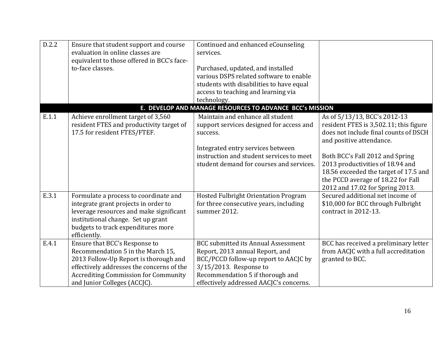| D.2.2 | Ensure that student support and course<br>evaluation in online classes are<br>equivalent to those offered in BCC's face-<br>to-face classes.                                                                                            | Continued and enhanced eCounseling<br>services.<br>Purchased, updated, and installed<br>various DSPS related software to enable<br>students with disabilities to have equal<br>access to teaching and learning via<br>technology. |                                                                                                                                                                                                                                                             |
|-------|-----------------------------------------------------------------------------------------------------------------------------------------------------------------------------------------------------------------------------------------|-----------------------------------------------------------------------------------------------------------------------------------------------------------------------------------------------------------------------------------|-------------------------------------------------------------------------------------------------------------------------------------------------------------------------------------------------------------------------------------------------------------|
|       |                                                                                                                                                                                                                                         | E. DEVELOP AND MANAGE RESOURCES TO ADVANCE BCC's MISSION                                                                                                                                                                          |                                                                                                                                                                                                                                                             |
| E.1.1 | Achieve enrollment target of 3,560<br>resident FTES and productivity target of<br>17.5 for resident FTES/FTEF.                                                                                                                          | Maintain and enhance all student<br>support services designed for access and<br>success.<br>Integrated entry services between<br>instruction and student services to meet<br>student demand for courses and services.             | As of 5/13/13, BCC's 2012-13<br>resident FTES is 3,502.11; this figure<br>does not include final counts of DSCH<br>and positive attendance.<br>Both BCC's Fall 2012 and Spring<br>2013 productivities of 18.94 and<br>18.56 exceeded the target of 17.5 and |
|       |                                                                                                                                                                                                                                         |                                                                                                                                                                                                                                   | the PCCD average of 18.22 for Fall<br>2012 and 17.02 for Spring 2013.                                                                                                                                                                                       |
| E.3.1 | Formulate a process to coordinate and<br>integrate grant projects in order to<br>leverage resources and make significant<br>institutional change. Set up grant<br>budgets to track expenditures more<br>efficiently.                    | Hosted Fulbright Orientation Program<br>for three consecutive years, including<br>summer 2012.                                                                                                                                    | Secured additional net income of<br>\$10,000 for BCC through Fulbright<br>contract in 2012-13.                                                                                                                                                              |
| E.4.1 | Ensure that BCC's Response to<br>Recommendation 5 in the March 15,<br>2013 Follow-Up Report is thorough and<br>effectively addresses the concerns of the<br><b>Accrediting Commission for Community</b><br>and Junior Colleges (ACCJC). | <b>BCC submitted its Annual Assessment</b><br>Report, 2013 annual Report, and<br>BCC/PCCD follow-up report to AACJC by<br>3/15/2013. Response to<br>Recommendation 5 if thorough and<br>effectively addressed AACJC's concerns.   | BCC has received a preliminary letter<br>from AACJC with a full accreditation<br>granted to BCC.                                                                                                                                                            |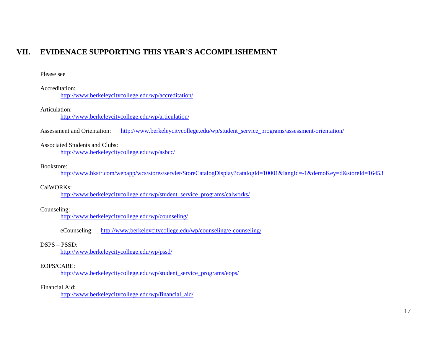## **VII. EVIDENACE SUPPORTING THIS YEAR'S ACCOMPLISHEMENT**

#### Please see

#### Accreditation:

<http://www.berkeleycitycollege.edu/wp/accreditation/>

### Articulation:

<http://www.berkeleycitycollege.edu/wp/articulation/>

Assessment and Orientation: [http://www.berkeleycitycollege.edu/wp/student\\_service\\_programs/assessment-orientation/](http://www.berkeleycitycollege.edu/wp/student_service_programs/assessment-orientation/)

## Associated Students and Clubs:

<http://www.berkeleycitycollege.edu/wp/asbcc/>

#### Bookstore:

<http://www.bkstr.com/webapp/wcs/stores/servlet/StoreCatalogDisplay?catalogId=10001&langId=-1&demoKey=d&storeId=16453>

### CalWORKs:

[http://www.berkeleycitycollege.edu/wp/student\\_service\\_programs/calworks/](http://www.berkeleycitycollege.edu/wp/student_service_programs/calworks/)

#### Counseling:

<http://www.berkeleycitycollege.edu/wp/counseling/>

eCounseling: <http://www.berkeleycitycollege.edu/wp/counseling/e-counseling/>

#### DSPS – PSSD:

<http://www.berkeleycitycollege.edu/wp/pssd/>

#### EOPS/CARE:

[http://www.berkeleycitycollege.edu/wp/student\\_service\\_programs/eops/](http://www.berkeleycitycollege.edu/wp/student_service_programs/eops/)

#### Financial Aid:

[http://www.berkeleycitycollege.edu/wp/financial\\_aid/](http://www.berkeleycitycollege.edu/wp/financial_aid/)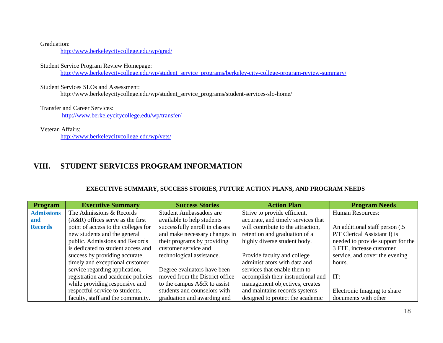Graduation:

<http://www.berkeleycitycollege.edu/wp/grad/>

Student Service Program Review Homepage:

[http://www.berkeleycitycollege.edu/wp/student\\_service\\_programs/berkeley-city-college-program-review-summary/](http://www.berkeleycitycollege.edu/wp/student_service_programs/berkeley-city-college-program-review-summary/)

Student Services SLOs and Assessment:

http://www.berkeleycitycollege.edu/wp/student\_service\_programs/student-services-slo-home/

Transfer and Career Services: <http://www.berkeleycitycollege.edu/wp/transfer/>

Veteran Affairs:

<http://www.berkeleycitycollege.edu/wp/vets/>

## **VIII. STUDENT SERVICES PROGRAM INFORMATION**

## **EXECUTIVE SUMMARY, SUCCESS STORIES, FUTURE ACTION PLANS, AND PROGRAM NEEDS**

| <b>Program</b>    | <b>Executive Summary</b>            | <b>Success Stories</b>         | <b>Action Plan</b>                 | <b>Program Needs</b>              |
|-------------------|-------------------------------------|--------------------------------|------------------------------------|-----------------------------------|
| <b>Admissions</b> | The Admissions & Records            | <b>Student Ambassadors are</b> | Strive to provide efficient,       | <b>Human Resources:</b>           |
| and               | $(A&R)$ offices serve as the first  | available to help students     | accurate, and timely services that |                                   |
| <b>Records</b>    | point of access to the colleges for | successfully enroll in classes | will contribute to the attraction, | An additional staff person (.5)   |
|                   | new students and the general        | and make necessary changes in  | retention and graduation of a      | P/T Clerical Assistant I) is      |
|                   | public. Admissions and Records      | their programs by providing    | highly diverse student body.       | needed to provide support for the |
|                   | is dedicated to student access and  | customer service and           |                                    | 3 FTE, increase customer          |
|                   | success by providing accurate,      | technological assistance.      | Provide faculty and college        | service, and cover the evening    |
|                   | timely and exceptional customer     |                                | administrators with data and       | hours.                            |
|                   | service regarding application,      | Degree evaluators have been    | services that enable them to       |                                   |
|                   | registration and academic policies  | moved from the District office | accomplish their instructional and | IT:                               |
|                   | while providing responsive and      | to the campus A&R to assist    | management objectives, creates     |                                   |
|                   | respectful service to students,     | students and counselors with   | and maintains records systems      | Electronic Imaging to share       |
|                   | faculty, staff and the community.   | graduation and awarding and    | designed to protect the academic   | documents with other              |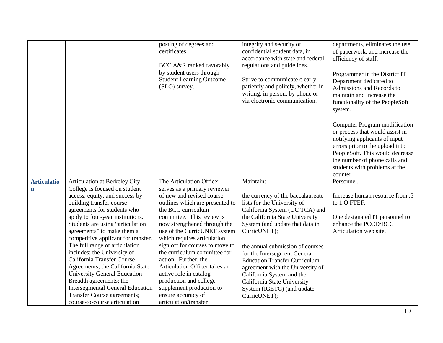|                    |                                                                                                                                           | posting of degrees and<br>certificates.<br>BCC A&R ranked favorably                                                      | integrity and security of<br>confidential student data, in<br>accordance with state and federal<br>regulations and guidelines.               | departments, eliminates the use<br>of paperwork, and increase the<br>efficiency of staff.                                                                                                                                                             |
|--------------------|-------------------------------------------------------------------------------------------------------------------------------------------|--------------------------------------------------------------------------------------------------------------------------|----------------------------------------------------------------------------------------------------------------------------------------------|-------------------------------------------------------------------------------------------------------------------------------------------------------------------------------------------------------------------------------------------------------|
|                    |                                                                                                                                           | by student users through<br><b>Student Learning Outcome</b><br>(SLO) survey.                                             | Strive to communicate clearly,<br>patiently and politely, whether in<br>writing, in person, by phone or<br>via electronic communication.     | Programmer in the District IT<br>Department dedicated to<br>Admissions and Records to<br>maintain and increase the<br>functionality of the PeopleSoft<br>system.                                                                                      |
|                    |                                                                                                                                           |                                                                                                                          |                                                                                                                                              | Computer Program modification<br>or process that would assist in<br>notifying applicants of input<br>errors prior to the upload into<br>PeopleSoft. This would decrease<br>the number of phone calls and<br>students with problems at the<br>counter. |
| <b>Articulatio</b> | Articulation at Berkeley City                                                                                                             | The Articulation Officer                                                                                                 | Maintain:                                                                                                                                    | Personnel.                                                                                                                                                                                                                                            |
| n                  | College is focused on student                                                                                                             | serves as a primary reviewer                                                                                             |                                                                                                                                              |                                                                                                                                                                                                                                                       |
|                    | access, equity, and success by<br>building transfer course<br>agreements for students who                                                 | of new and revised course<br>outlines which are presented to<br>the BCC curriculum                                       | the currency of the baccalaureate<br>lists for the University of<br>California System (UC TCA) and                                           | Increase human resource from .5<br>to 1.0 FTEF.                                                                                                                                                                                                       |
|                    | apply to four-year institutions.<br>Students are using "articulation<br>agreements" to make them a<br>competitive applicant for transfer. | committee. This review is<br>now strengthened through the<br>use of the CurricUNET system<br>which requires articulation | the California State University<br>System (and update that data in<br>CurricUNET);                                                           | One designated IT personnel to<br>enhance the PCCD/BCC<br>Articulation web site.                                                                                                                                                                      |
|                    | The full range of articulation<br>includes: the University of<br>California Transfer Course<br>Agreements; the California State           | sign off for courses to move to<br>the curriculum committee for<br>action. Further, the<br>Articulation Officer takes an | the annual submission of courses<br>for the Intersegment General<br><b>Education Transfer Curriculum</b><br>agreement with the University of |                                                                                                                                                                                                                                                       |
|                    | <b>University General Education</b><br>Breadth agreements; the                                                                            | active role in catalog<br>production and college                                                                         | California System and the                                                                                                                    |                                                                                                                                                                                                                                                       |
|                    | <b>Intersegmental General Education</b>                                                                                                   | supplement production to                                                                                                 | California State University<br>System (IGETC) (and update                                                                                    |                                                                                                                                                                                                                                                       |
|                    | Transfer Course agreements;                                                                                                               | ensure accuracy of                                                                                                       | CurricUNET);                                                                                                                                 |                                                                                                                                                                                                                                                       |
|                    | course-to-course articulation                                                                                                             | articulation/transfer                                                                                                    |                                                                                                                                              |                                                                                                                                                                                                                                                       |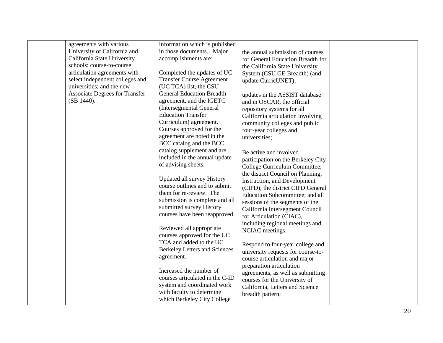| agreements with various               | information which is published       |                                    |  |
|---------------------------------------|--------------------------------------|------------------------------------|--|
| University of California and          | in those documents. Major            | the annual submission of courses   |  |
| California State University           | accomplishments are:                 | for General Education Breadth for  |  |
| schools; course-to-course             |                                      | the California State University    |  |
| articulation agreements with          | Completed the updates of UC          | System (CSU GE Breadth) (and       |  |
| select independent colleges and       | <b>Transfer Course Agreement</b>     | update CurricUNET);                |  |
| universities; and the new             | (UC TCA) list, the CSU               |                                    |  |
| <b>Associate Degrees for Transfer</b> | <b>General Education Breadth</b>     | updates in the ASSIST database     |  |
| (SB 1440).                            | agreement, and the IGETC             | and in OSCAR, the official         |  |
|                                       | (Intersegmental General              | repository systems for all         |  |
|                                       | <b>Education Transfer</b>            | California articulation involving  |  |
|                                       | Curriculum) agreement.               | community colleges and public      |  |
|                                       | Courses approved for the             | four-year colleges and             |  |
|                                       | agreement are noted in the           | universities;                      |  |
|                                       | BCC catalog and the BCC              |                                    |  |
|                                       | catalog supplement and are           | Be active and involved             |  |
|                                       | included in the annual update        | participation on the Berkeley City |  |
|                                       | of advising sheets.                  | College Curriculum Committee;      |  |
|                                       |                                      | the district Council on Planning,  |  |
|                                       | <b>Updated all survey History</b>    | Instruction, and Development       |  |
|                                       | course outlines and to submit        | (CIPD); the district CIPD General  |  |
|                                       | them for re-review. The              | Education Subcommittee; and all    |  |
|                                       | submission is complete and all       | sessions of the segments of the    |  |
|                                       | submitted survey History             | California Intersegment Council    |  |
|                                       | courses have been reapproved.        | for Articulation (CIAC),           |  |
|                                       |                                      | including regional meetings and    |  |
|                                       | Reviewed all appropriate             | NCIAC meetings.                    |  |
|                                       | courses approved for the UC          |                                    |  |
|                                       | TCA and added to the UC              | Respond to four-year college and   |  |
|                                       | <b>Berkeley Letters and Sciences</b> | university requests for course-to- |  |
|                                       | agreement.                           | course articulation and major      |  |
|                                       |                                      | preparation articulation           |  |
|                                       | Increased the number of              | agreements, as well as submitting  |  |
|                                       | courses articulated in the C-ID      | courses for the University of      |  |
|                                       | system and coordinated work          | California, Letters and Science    |  |
|                                       | with faculty to determine            | breadth pattern;                   |  |
|                                       | which Berkeley City College          |                                    |  |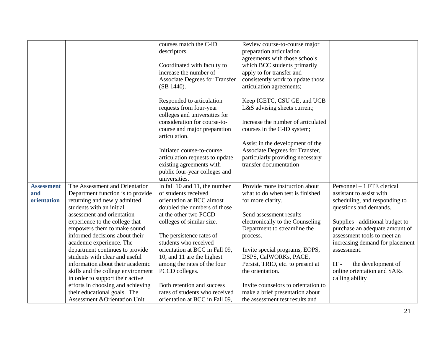|                   |                                          | courses match the C-ID                | Review course-to-course major       |                                 |
|-------------------|------------------------------------------|---------------------------------------|-------------------------------------|---------------------------------|
|                   |                                          | descriptors.                          | preparation articulation            |                                 |
|                   |                                          |                                       | agreements with those schools       |                                 |
|                   |                                          | Coordinated with faculty to           | which BCC students primarily        |                                 |
|                   |                                          | increase the number of                | apply to for transfer and           |                                 |
|                   |                                          | <b>Associate Degrees for Transfer</b> | consistently work to update those   |                                 |
|                   |                                          | (SB 1440).                            | articulation agreements;            |                                 |
|                   |                                          |                                       |                                     |                                 |
|                   |                                          | Responded to articulation             | Keep IGETC, CSU GE, and UCB         |                                 |
|                   |                                          | requests from four-year               | L&S advising sheets current;        |                                 |
|                   |                                          | colleges and universities for         |                                     |                                 |
|                   |                                          | consideration for course-to-          | Increase the number of articulated  |                                 |
|                   |                                          | course and major preparation          | courses in the C-ID system;         |                                 |
|                   |                                          | articulation.                         |                                     |                                 |
|                   |                                          |                                       | Assist in the development of the    |                                 |
|                   |                                          | Initiated course-to-course            | Associate Degrees for Transfer,     |                                 |
|                   |                                          | articulation requests to update       | particularly providing necessary    |                                 |
|                   |                                          | existing agreements with              | transfer documentation              |                                 |
|                   |                                          | public four-year colleges and         |                                     |                                 |
|                   |                                          | universities.                         |                                     |                                 |
| <b>Assessment</b> | The Assessment and Orientation           | In fall 10 and 11, the number         | Provide more instruction about      | Personnel - 1 FTE clerical      |
| and               | Department function is to provide        | of students received                  | what to do when test is finished    | assistant to assist with        |
| orientation       | returning and newly admitted             | orientation at BCC almost             | for more clarity.                   | scheduling, and responding to   |
|                   | students with an initial                 | doubled the numbers of those          |                                     | questions and demands.          |
|                   | assessment and orientation               | at the other two PCCD                 | Send assessment results             |                                 |
|                   | experience to the college that           | colleges of similar size.             | electronically to the Counseling    | Supplies - additional budget to |
|                   | empowers them to make sound              |                                       | Department to streamline the        | purchase an adequate amount of  |
|                   | informed decisions about their           | The persistence rates of              | process.                            | assessment tools to meet an     |
|                   | academic experience. The                 | students who received                 |                                     | increasing demand for placement |
|                   | department continues to provide          | orientation at BCC in Fall 09,        | Invite special programs, EOPS,      | assessment.                     |
|                   | students with clear and useful           | 10, and 11 are the highest            | DSPS, CalWORKs, PACE,               |                                 |
|                   | information about their academic         | among the rates of the four           | Persist, TRIO, etc. to present at   | $IT -$<br>the development of    |
|                   | skills and the college environment       | PCCD colleges.                        | the orientation.                    | online orientation and SARs     |
|                   | in order to support their active         |                                       |                                     | calling ability                 |
|                   | efforts in choosing and achieving        | Both retention and success            | Invite counselors to orientation to |                                 |
|                   | their educational goals. The             | rates of students who received        | make a brief presentation about     |                                 |
|                   | <b>Assessment &amp; Orientation Unit</b> | orientation at BCC in Fall 09,        | the assessment test results and     |                                 |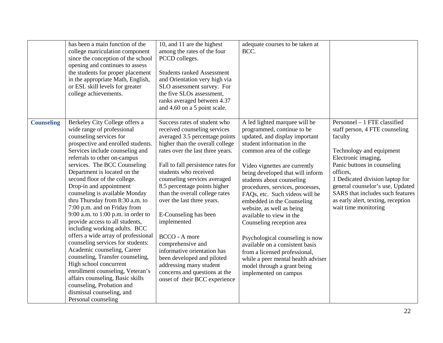|                   | has been a main function of the<br>college matriculation component<br>since the conception of the school<br>opening and continues to assess<br>the students for proper placement<br>in the appropriate Math, English,<br>or ESL skill levels for greater<br>college achievements.                                                                                                                                                                                                                                                                                                                                                                                                                                                                                                                                                                                                | 10, and 11 are the highest<br>among the rates of the four<br>PCCD colleges.<br><b>Students ranked Assessment</b><br>and Orientation very high via<br>SLO assessment survey. For<br>the five SLOs assessment,<br>ranks averaged between 4.37<br>and 4.60 on a 5 point scale.                                                                                                                                                                                                                                                                                                                                         | adequate courses to be taken at<br>BCC.                                                                                                                                                                                                                                                                                                                                                                                                                                                                                                                                                                                                                    |                                                                                                                                                                                                                                                                                                                                                  |
|-------------------|----------------------------------------------------------------------------------------------------------------------------------------------------------------------------------------------------------------------------------------------------------------------------------------------------------------------------------------------------------------------------------------------------------------------------------------------------------------------------------------------------------------------------------------------------------------------------------------------------------------------------------------------------------------------------------------------------------------------------------------------------------------------------------------------------------------------------------------------------------------------------------|---------------------------------------------------------------------------------------------------------------------------------------------------------------------------------------------------------------------------------------------------------------------------------------------------------------------------------------------------------------------------------------------------------------------------------------------------------------------------------------------------------------------------------------------------------------------------------------------------------------------|------------------------------------------------------------------------------------------------------------------------------------------------------------------------------------------------------------------------------------------------------------------------------------------------------------------------------------------------------------------------------------------------------------------------------------------------------------------------------------------------------------------------------------------------------------------------------------------------------------------------------------------------------------|--------------------------------------------------------------------------------------------------------------------------------------------------------------------------------------------------------------------------------------------------------------------------------------------------------------------------------------------------|
| <b>Counseling</b> | Berkeley City College offers a<br>wide range of professional<br>counseling services for<br>prospective and enrolled students.<br>Services include counseling and<br>referrals to other on-campus<br>services. The BCC Counseling<br>Department is located on the<br>second floor of the college.<br>Drop-in and appointment<br>counseling is available Monday<br>thru Thursday from 8:30 a.m. to<br>7:00 p.m. and on Friday from<br>$9:00$ a.m. to $1:00$ p.m. in order to<br>provide access to all students,<br>including working adults. BCC<br>offers a wide array of professional<br>counseling services for students:<br>Academic counseling, Career<br>counseling, Transfer counseling,<br>High school concurrent<br>enrollment counseling, Veteran's<br>affairs counseling, Basic skills<br>counseling, Probation and<br>dismissal counseling, and<br>Personal counseling | Success rates of student who<br>received counseling services<br>averaged 3.5 percentage points<br>higher than the overall college<br>rates over the last three years.<br>Fall to fall persistence rates for<br>students who received<br>counseling services averaged<br>8.5 percentage points higher<br>than the overall college rates<br>over the last three years.<br>E-Counseling has been<br>implemented<br><b>BCCO</b> - A more<br>comprehensive and<br>informative orientation has<br>been developed and piloted<br>addressing many student<br>concerns and questions at the<br>onset of their BCC experience | A led lighted marquee will be<br>programmed, continue to be<br>updated, and display important<br>student information in the<br>common area of the college<br>Video vignettes are currently<br>being developed that will inform<br>students about counseling<br>procedures, services, processes,<br>FAQs, etc. Such videos will be<br>embedded in the Counseling<br>website, as well as being<br>available to view in the<br>Counseling reception area<br>Psychological counseling is now<br>available on a consistent basis<br>from a licensed professional,<br>while a peer mental health adviser<br>model through a grant being<br>implemented on campus | Personnel - 1 FTE classified<br>staff person, 4 FTE counseling<br>faculty<br>Technology and equipment<br>Electronic imaging,<br>Panic buttons in counseling<br>offices,<br>1 Dedicated division laptop for<br>general counselor's use, Updated<br>SARS that includes such features<br>as early alert, texting, reception<br>wait time monitoring |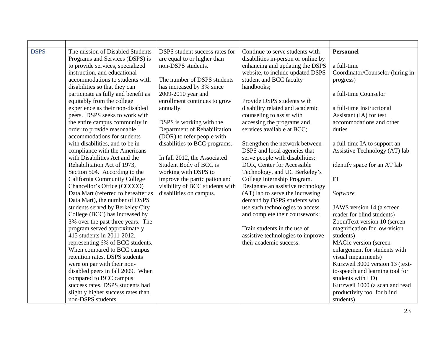| <b>DSPS</b> | The mission of Disabled Students    | DSPS student success rates for  | Continue to serve students with     | <b>Personnel</b>                 |
|-------------|-------------------------------------|---------------------------------|-------------------------------------|----------------------------------|
|             | Programs and Services (DSPS) is     | are equal to or higher than     | disabilities in-person or online by |                                  |
|             | to provide services, specialized    | non-DSPS students.              | enhancing and updating the DSPS     | a full-time                      |
|             | instruction, and educational        |                                 | website, to include updated DSPS    | Coordinator/Counselor (hiring in |
|             | accommodations to students with     | The number of DSPS students     | student and BCC faculty             | progress)                        |
|             | disabilities so that they can       | has increased by 3% since       | handbooks;                          |                                  |
|             | participate as fully and benefit as | 2009-2010 year and              |                                     | a full-time Counselor            |
|             | equitably from the college          | enrollment continues to grow    | Provide DSPS students with          |                                  |
|             | experience as their non-disabled    | annually.                       | disability related and academic     | a full-time Instructional        |
|             | peers. DSPS seeks to work with      |                                 | counseling to assist with           | Assistant (IA) for test          |
|             | the entire campus community in      | DSPS is working with the        | accessing the programs and          | accommodations and other         |
|             | order to provide reasonable         | Department of Rehabilitation    | services available at BCC;          | duties                           |
|             | accommodations for students         | (DOR) to refer people with      |                                     |                                  |
|             | with disabilities, and to be in     | disabilities to BCC programs.   | Strengthen the network between      | a full-time IA to support an     |
|             | compliance with the Americans       |                                 | DSPS and local agencies that        | Assistive Technology (AT) lab    |
|             | with Disabilities Act and the       | In fall 2012, the Associated    | serve people with disabilities:     |                                  |
|             | Rehabilitation Act of 1973,         | Student Body of BCC is          | DOR, Center for Accessible          | identify space for an AT lab     |
|             | Section 504. According to the       | working with DSPS to            | Technology, and UC Berkeley's       |                                  |
|             | California Community College        | improve the participation and   | College Internship Program.         | IT                               |
|             | Chancellor's Office (CCCCO)         | visibility of BCC students with | Designate an assistive technology   |                                  |
|             | Data Mart (referred to hereafter as | disabilities on campus.         | (AT) lab to serve the increasing    | Software                         |
|             | Data Mart), the number of DSPS      |                                 | demand by DSPS students who         |                                  |
|             | students served by Berkeley City    |                                 | use such technologies to access     | JAWS version 14 (a screen        |
|             | College (BCC) has increased by      |                                 | and complete their coursework;      | reader for blind students)       |
|             | 3% over the past three years. The   |                                 |                                     | ZoomText version 10 (screen      |
|             | program served approximately        |                                 | Train students in the use of        | magnification for low-vision     |
|             | 415 students in 2011-2012,          |                                 | assistive technologies to improve   | students)                        |
|             | representing 6% of BCC students.    |                                 | their academic success.             | MAGic version (screen            |
|             | When compared to BCC campus         |                                 |                                     | enlargement for students with    |
|             | retention rates, DSPS students      |                                 |                                     | visual impairments)              |
|             | were on par with their non-         |                                 |                                     | Kurzweil 3000 version 13 (text-  |
|             | disabled peers in fall 2009. When   |                                 |                                     | to-speech and learning tool for  |
|             | compared to BCC campus              |                                 |                                     | students with LD)                |
|             | success rates, DSPS students had    |                                 |                                     | Kurzweil 1000 (a scan and read   |
|             | slightly higher success rates than  |                                 |                                     | productivity tool for blind      |
|             | non-DSPS students.                  |                                 |                                     | students)                        |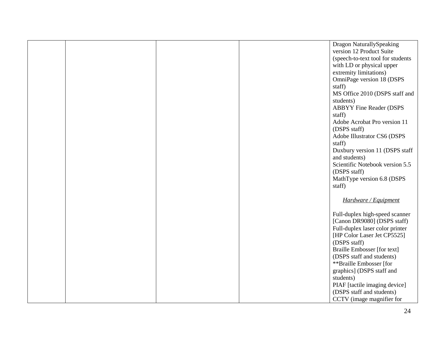|  |  | Dragon NaturallySpeaking           |
|--|--|------------------------------------|
|  |  | version 12 Product Suite           |
|  |  | (speech-to-text tool for students  |
|  |  | with LD or physical upper          |
|  |  | extremity limitations)             |
|  |  | OmniPage version 18 (DSPS          |
|  |  |                                    |
|  |  | staff)                             |
|  |  | MS Office 2010 (DSPS staff and     |
|  |  | students)                          |
|  |  | <b>ABBYY Fine Reader (DSPS</b>     |
|  |  | staff)                             |
|  |  | Adobe Acrobat Pro version 11       |
|  |  | (DSPS staff)                       |
|  |  | Adobe Illustrator CS6 (DSPS        |
|  |  | staff)                             |
|  |  | Duxbury version 11 (DSPS staff     |
|  |  | and students)                      |
|  |  | Scientific Notebook version 5.5    |
|  |  | (DSPS staff)                       |
|  |  | MathType version 6.8 (DSPS         |
|  |  | staff)                             |
|  |  |                                    |
|  |  | Hardware / Equipment               |
|  |  |                                    |
|  |  | Full-duplex high-speed scanner     |
|  |  | [Canon DR9080] (DSPS staff)        |
|  |  |                                    |
|  |  | Full-duplex laser color printer    |
|  |  | [HP Color Laser Jet CP5525]        |
|  |  | (DSPS staff)                       |
|  |  | <b>Braille Embosser</b> [for text] |
|  |  | (DSPS staff and students)          |
|  |  | **Braille Embosser [for            |
|  |  | graphics] (DSPS staff and          |
|  |  | students)                          |
|  |  | PIAF [tactile imaging device]      |
|  |  | (DSPS staff and students)          |
|  |  | CCTV (image magnifier for          |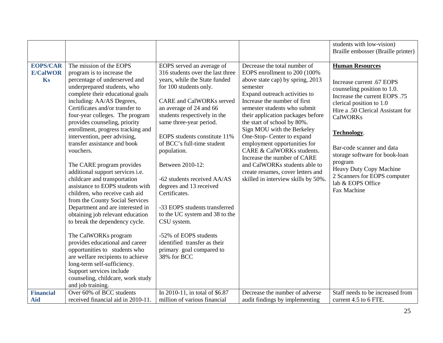|                  |                                                                                                                                                                                                                                                                                                                                                                                                                                                                                                                                                                                                                                                                                                                                                                                                                                                                                                             |                                                                                                                                                                                                                                                                                                                                                                                                                                                                                                                                                    |                                                                                                                                                                                                                                                                                                                                                                                                                                                                                        | students with low-vision)                                                                                                                                                                                                                                                                                                                                             |
|------------------|-------------------------------------------------------------------------------------------------------------------------------------------------------------------------------------------------------------------------------------------------------------------------------------------------------------------------------------------------------------------------------------------------------------------------------------------------------------------------------------------------------------------------------------------------------------------------------------------------------------------------------------------------------------------------------------------------------------------------------------------------------------------------------------------------------------------------------------------------------------------------------------------------------------|----------------------------------------------------------------------------------------------------------------------------------------------------------------------------------------------------------------------------------------------------------------------------------------------------------------------------------------------------------------------------------------------------------------------------------------------------------------------------------------------------------------------------------------------------|----------------------------------------------------------------------------------------------------------------------------------------------------------------------------------------------------------------------------------------------------------------------------------------------------------------------------------------------------------------------------------------------------------------------------------------------------------------------------------------|-----------------------------------------------------------------------------------------------------------------------------------------------------------------------------------------------------------------------------------------------------------------------------------------------------------------------------------------------------------------------|
|                  |                                                                                                                                                                                                                                                                                                                                                                                                                                                                                                                                                                                                                                                                                                                                                                                                                                                                                                             |                                                                                                                                                                                                                                                                                                                                                                                                                                                                                                                                                    |                                                                                                                                                                                                                                                                                                                                                                                                                                                                                        | Braille embosser (Braille printer)                                                                                                                                                                                                                                                                                                                                    |
|                  |                                                                                                                                                                                                                                                                                                                                                                                                                                                                                                                                                                                                                                                                                                                                                                                                                                                                                                             |                                                                                                                                                                                                                                                                                                                                                                                                                                                                                                                                                    |                                                                                                                                                                                                                                                                                                                                                                                                                                                                                        |                                                                                                                                                                                                                                                                                                                                                                       |
| <b>EOPS/CAR</b>  | The mission of the EOPS                                                                                                                                                                                                                                                                                                                                                                                                                                                                                                                                                                                                                                                                                                                                                                                                                                                                                     | EOPS served an average of                                                                                                                                                                                                                                                                                                                                                                                                                                                                                                                          | Decrease the total number of                                                                                                                                                                                                                                                                                                                                                                                                                                                           | <b>Human Resources</b>                                                                                                                                                                                                                                                                                                                                                |
| <b>E/CalWOR</b>  | program is to increase the                                                                                                                                                                                                                                                                                                                                                                                                                                                                                                                                                                                                                                                                                                                                                                                                                                                                                  | 316 students over the last three                                                                                                                                                                                                                                                                                                                                                                                                                                                                                                                   | EOPS enrollment to 200 (100%                                                                                                                                                                                                                                                                                                                                                                                                                                                           |                                                                                                                                                                                                                                                                                                                                                                       |
| Ks               | percentage of underserved and<br>underprepared students, who<br>complete their educational goals<br>including: AA/AS Degrees,<br>Certificates and/or transfer to<br>four-year colleges. The program<br>provides counseling, priority<br>enrollment, progress tracking and<br>intervention, peer advising,<br>transfer assistance and book<br>vouchers.<br>The CARE program provides<br>additional support services i.e.<br>childcare and transportation<br>assistance to EOPS students with<br>children, who receive cash aid<br>from the County Social Services<br>Department and are interested in<br>obtaining job relevant education<br>to break the dependency cycle.<br>The CalWORKs program<br>provides educational and career<br>opportunities to students who<br>are welfare recipients to achieve<br>long-term self-sufficiency.<br>Support services include<br>counseling, childcare, work study | years, while the State funded<br>for 100 students only.<br><b>CARE</b> and CalWORKs served<br>an average of 24 and 66<br>students respectively in the<br>same three-year period.<br>EOPS students constitute 11%<br>of BCC's full-time student<br>population.<br>Between 2010-12:<br>-62 students received AA/AS<br>degrees and 13 received<br>Certificates.<br>-33 EOPS students transferred<br>to the UC system and 38 to the<br>CSU system.<br>-52% of EOPS students<br>identified transfer as their<br>primary goal compared to<br>38% for BCC | above state cap) by spring, 2013<br>semester<br>Expand outreach activities to<br>Increase the number of first<br>semester students who submit<br>their application packages before<br>the start of school by 80%.<br>Sign MOU with the Berkeley<br>One-Stop- Center to expand<br>employment opportunities for<br>CARE & CalWORKs students.<br>Increase the number of CARE<br>and CalWORKs students able to<br>create resumes, cover letters and<br>skilled in interview skills by 50%. | Increase current .67 EOPS<br>counseling position to 1.0.<br>Increase the current EOPS .75<br>clerical position to 1.0<br>Hire a .50 Clerical Assistant for<br><b>CalWORKs</b><br>Technology.<br>Bar-code scanner and data<br>storage software for book-loan<br>program<br>Heavy Duty Copy Machine<br>2 Scanners for EOPS computer<br>lab & EOPS Office<br>Fax Machine |
|                  | and job training.                                                                                                                                                                                                                                                                                                                                                                                                                                                                                                                                                                                                                                                                                                                                                                                                                                                                                           |                                                                                                                                                                                                                                                                                                                                                                                                                                                                                                                                                    |                                                                                                                                                                                                                                                                                                                                                                                                                                                                                        |                                                                                                                                                                                                                                                                                                                                                                       |
| <b>Financial</b> | Over 60% of BCC students                                                                                                                                                                                                                                                                                                                                                                                                                                                                                                                                                                                                                                                                                                                                                                                                                                                                                    | In 2010-11, in total of \$6.87                                                                                                                                                                                                                                                                                                                                                                                                                                                                                                                     | Decrease the number of adverse                                                                                                                                                                                                                                                                                                                                                                                                                                                         | Staff needs to be increased from                                                                                                                                                                                                                                                                                                                                      |
| <b>Aid</b>       | received financial aid in 2010-11.                                                                                                                                                                                                                                                                                                                                                                                                                                                                                                                                                                                                                                                                                                                                                                                                                                                                          | million of various financial                                                                                                                                                                                                                                                                                                                                                                                                                                                                                                                       | audit findings by implementing                                                                                                                                                                                                                                                                                                                                                                                                                                                         | current 4.5 to 6 FTE.                                                                                                                                                                                                                                                                                                                                                 |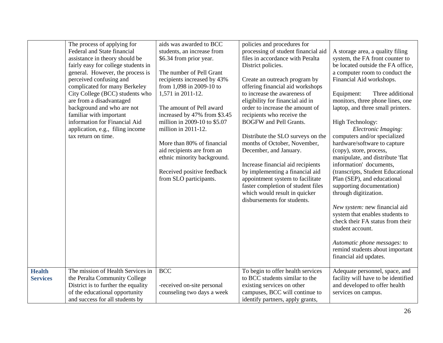|                 | The process of applying for         | aids was awarded to BCC      | policies and procedures for         |                                     |
|-----------------|-------------------------------------|------------------------------|-------------------------------------|-------------------------------------|
|                 | Federal and State financial         | students, an increase from   | processing of student financial aid | A storage area, a quality filing    |
|                 | assistance in theory should be      | \$6.34 from prior year.      | files in accordance with Peralta    | system, the FA front counter to     |
|                 | fairly easy for college students in |                              | District policies.                  | be located outside the FA office,   |
|                 | general. However, the process is    | The number of Pell Grant     |                                     | a computer room to conduct the      |
|                 | perceived confusing and             | recipients increased by 43%  | Create an outreach program by       | Financial Aid workshops.            |
|                 | complicated for many Berkeley       | from 1,098 in 2009-10 to     | offering financial aid workshops    |                                     |
|                 | City College (BCC) students who     | 1,571 in 2011-12.            | to increase the awareness of        | Three additional<br>Equipment:      |
|                 | are from a disadvantaged            |                              | eligibility for financial aid in    | monitors, three phone lines, one    |
|                 | background and who are not          | The amount of Pell award     | order to increase the amount of     | laptop, and three small printers.   |
|                 | familiar with important             | increased by 47% from \$3.45 | recipients who receive the          |                                     |
|                 | information for Financial Aid       | million in 2009-10 to \$5.07 | <b>BOGFW</b> and Pell Grants.       | High Technology:                    |
|                 | application, e.g., filing income    | million in 2011-12.          |                                     | Electronic Imaging:                 |
|                 | tax return on time.                 |                              | Distribute the SLO surveys on the   | computers and/or specialized        |
|                 |                                     | More than 80% of financial   | months of October, November,        | hardware/software to capture        |
|                 |                                     | aid recipients are from an   | December, and January.              | (copy), store, process,             |
|                 |                                     | ethnic minority background.  |                                     | manipulate, and distribute 'flat    |
|                 |                                     |                              | Increase financial aid recipients   | information' documents,             |
|                 |                                     | Received positive feedback   | by implementing a financial aid     | (transcripts, Student Educational   |
|                 |                                     | from SLO participants.       | appointment system to facilitate    | Plan (SEP), and educational         |
|                 |                                     |                              | faster completion of student files  | supporting documentation)           |
|                 |                                     |                              | which would result in quicker       | through digitization.               |
|                 |                                     |                              | disbursements for students.         |                                     |
|                 |                                     |                              |                                     | New system: new financial aid       |
|                 |                                     |                              |                                     | system that enables students to     |
|                 |                                     |                              |                                     | check their FA status from their    |
|                 |                                     |                              |                                     | student account.                    |
|                 |                                     |                              |                                     |                                     |
|                 |                                     |                              |                                     | Automatic phone messages: to        |
|                 |                                     |                              |                                     | remind students about important     |
|                 |                                     |                              |                                     | financial aid updates.              |
|                 |                                     |                              |                                     |                                     |
| <b>Health</b>   | The mission of Health Services in   | <b>BCC</b>                   | To begin to offer health services   | Adequate personnel, space, and      |
| <b>Services</b> | the Peralta Community College       |                              | to BCC students similar to the      | facility will have to be identified |
|                 | District is to further the equality | -received on-site personal   | existing services on other          | and developed to offer health       |
|                 | of the educational opportunity      | counseling two days a week   | campuses, BCC will continue to      | services on campus.                 |
|                 | and success for all students by     |                              | identify partners, apply grants,    |                                     |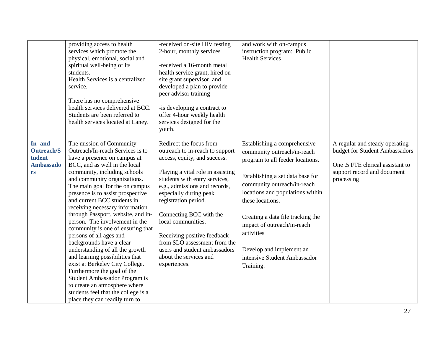|                                                                 | providing access to health<br>services which promote the<br>physical, emotional, social and<br>spiritual well-being of its<br>students.<br>Health Services is a centralized<br>service.<br>There has no comprehensive<br>health services delivered at BCC.<br>Students are been referred to<br>health services located at Laney.                                                                                                                                                                                                                                                                                                                                                                                                                                                               | -received on-site HIV testing<br>2-hour, monthly services<br>-received a 16-month metal<br>health service grant, hired on-<br>site grant supervisor, and<br>developed a plan to provide<br>peer advisor training<br>-is developing a contract to<br>offer 4-hour weekly health<br>services designed for the<br>youth.                                                                                                                          | and work with on-campus<br>instruction program: Public<br><b>Health Services</b>                                                                                                                                                                                                                                                                                                      |                                                                                                                                                   |
|-----------------------------------------------------------------|------------------------------------------------------------------------------------------------------------------------------------------------------------------------------------------------------------------------------------------------------------------------------------------------------------------------------------------------------------------------------------------------------------------------------------------------------------------------------------------------------------------------------------------------------------------------------------------------------------------------------------------------------------------------------------------------------------------------------------------------------------------------------------------------|------------------------------------------------------------------------------------------------------------------------------------------------------------------------------------------------------------------------------------------------------------------------------------------------------------------------------------------------------------------------------------------------------------------------------------------------|---------------------------------------------------------------------------------------------------------------------------------------------------------------------------------------------------------------------------------------------------------------------------------------------------------------------------------------------------------------------------------------|---------------------------------------------------------------------------------------------------------------------------------------------------|
| In-and<br><b>Outreach/S</b><br>tudent<br><b>Ambassado</b><br>rs | The mission of Community<br>Outreach/In-reach Services is to<br>have a presence on campus at<br>BCC, and as well in the local<br>community, including schools<br>and community organizations.<br>The main goal for the on campus<br>presence is to assist prospective<br>and current BCC students in<br>receiving necessary information<br>through Passport, website, and in-<br>person. The involvement in the<br>community is one of ensuring that<br>persons of all ages and<br>backgrounds have a clear<br>understanding of all the growth<br>and learning possibilities that<br>exist at Berkeley City College.<br>Furthermore the goal of the<br>Student Ambassador Program is<br>to create an atmosphere where<br>students feel that the college is a<br>place they can readily turn to | Redirect the focus from<br>outreach to in-reach to support<br>access, equity, and success.<br>Playing a vital role in assisting<br>students with entry services,<br>e.g., admissions and records,<br>especially during peak<br>registration period.<br>Connecting BCC with the<br>local communities.<br>Receiving positive feedback<br>from SLO assessment from the<br>users and student ambassadors<br>about the services and<br>experiences. | Establishing a comprehensive<br>community outreach/in-reach<br>program to all feeder locations.<br>Establishing a set data base for<br>community outreach/in-reach<br>locations and populations within<br>these locations.<br>Creating a data file tracking the<br>impact of outreach/in-reach<br>activities<br>Develop and implement an<br>intensive Student Ambassador<br>Training. | A regular and steady operating<br>budget for Student Ambassadors<br>One .5 FTE clerical assistant to<br>support record and document<br>processing |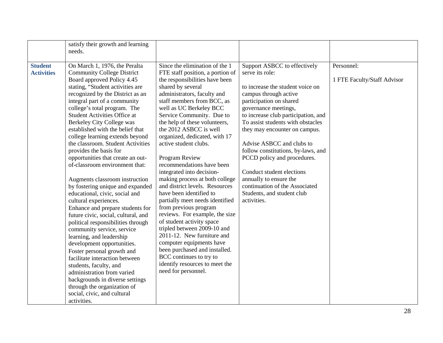|                   | satisfy their growth and learning                                   |                                                                  |                                                          |                             |
|-------------------|---------------------------------------------------------------------|------------------------------------------------------------------|----------------------------------------------------------|-----------------------------|
|                   | needs.                                                              |                                                                  |                                                          |                             |
|                   |                                                                     |                                                                  |                                                          |                             |
| <b>Student</b>    | On March 1, 1976, the Peralta                                       | Since the elimination of the 1                                   | Support ASBCC to effectively                             | Personnel:                  |
| <b>Activities</b> | <b>Community College District</b>                                   | FTE staff position, a portion of                                 | serve its role:                                          |                             |
|                   | Board approved Policy 4.45                                          | the responsibilities have been                                   |                                                          | 1 FTE Faculty/Staff Advisor |
|                   | stating, "Student activities are                                    | shared by several                                                | to increase the student voice on                         |                             |
|                   | recognized by the District as an                                    | administrators, faculty and                                      | campus through active                                    |                             |
|                   | integral part of a community                                        | staff members from BCC, as                                       | participation on shared                                  |                             |
|                   | college's total program. The                                        | well as UC Berkeley BCC                                          | governance meetings,                                     |                             |
|                   | <b>Student Activities Office at</b>                                 | Service Community. Due to                                        | to increase club participation, and                      |                             |
|                   | <b>Berkeley City College was</b>                                    | the help of these volunteers,                                    | To assist students with obstacles                        |                             |
|                   | established with the belief that                                    | the 2012 ASBCC is well                                           | they may encounter on campus.                            |                             |
|                   | college learning extends beyond                                     | organized, dedicated, with 17                                    |                                                          |                             |
|                   | the classroom. Student Activities                                   | active student clubs.                                            | Advise ASBCC and clubs to                                |                             |
|                   | provides the basis for                                              |                                                                  | follow constitutions, by-laws, and                       |                             |
|                   | opportunities that create an out-<br>of-classroom environment that: | Program Review                                                   | PCCD policy and procedures.                              |                             |
|                   |                                                                     | recommendations have been                                        |                                                          |                             |
|                   |                                                                     | integrated into decision-                                        | Conduct student elections                                |                             |
|                   | Augments classroom instruction                                      | making process at both college<br>and district levels. Resources | annually to ensure the<br>continuation of the Associated |                             |
|                   | by fostering unique and expanded                                    | have been identified to                                          |                                                          |                             |
|                   | educational, civic, social and                                      |                                                                  | Students, and student club<br>activities.                |                             |
|                   | cultural experiences.                                               | partially meet needs identified<br>from previous program         |                                                          |                             |
|                   | Enhance and prepare students for                                    | reviews. For example, the size                                   |                                                          |                             |
|                   | future civic, social, cultural, and                                 | of student activity space                                        |                                                          |                             |
|                   | political responsibilities through                                  | tripled between 2009-10 and                                      |                                                          |                             |
|                   | community service, service                                          | 2011-12. New furniture and                                       |                                                          |                             |
|                   | learning, and leadership                                            | computer equipments have                                         |                                                          |                             |
|                   | development opportunities.                                          | been purchased and installed.                                    |                                                          |                             |
|                   | Foster personal growth and<br>facilitate interaction between        | BCC continues to try to                                          |                                                          |                             |
|                   |                                                                     | identify resources to meet the                                   |                                                          |                             |
|                   | students, faculty, and<br>administration from varied                | need for personnel.                                              |                                                          |                             |
|                   |                                                                     |                                                                  |                                                          |                             |
|                   | backgrounds in diverse settings<br>through the organization of      |                                                                  |                                                          |                             |
|                   | social, civic, and cultural                                         |                                                                  |                                                          |                             |
|                   |                                                                     |                                                                  |                                                          |                             |
|                   | activities.                                                         |                                                                  |                                                          |                             |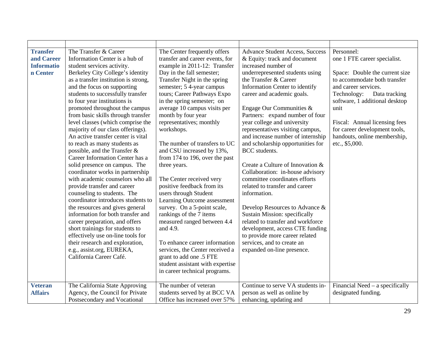| <b>Transfer</b>   | The Transfer & Career                | The Center frequently offers     | <b>Advance Student Access, Success</b> | Personnel:                      |
|-------------------|--------------------------------------|----------------------------------|----------------------------------------|---------------------------------|
| and Career        | Information Center is a hub of       | transfer and career events, for  | & Equity: track and document           | one 1 FTE career specialist.    |
| <b>Informatio</b> | student services activity.           | example in 2011-12: Transfer     | increased number of                    |                                 |
| n Center          | Berkeley City College's identity     | Day in the fall semester;        | underrepresented students using        | Space: Double the current size  |
|                   | as a transfer institution is strong, | Transfer Night in the spring     | the Transfer & Career                  | to accommodate both transfer    |
|                   | and the focus on supporting          | semester; 5 4-year campus        | Information Center to identify         | and career services.            |
|                   | students to successfully transfer    | tours; Career Pathways Expo      | career and academic goals.             | Data tracking<br>Technology:    |
|                   | to four year institutions is         | in the spring semester; on       |                                        | software, 1 additional desktop  |
|                   | promoted throughout the campus       | average 10 campus visits per     | Engage Our Communities &               | unit                            |
|                   | from basic skills through transfer   | month by four year               | Partners: expand number of four        |                                 |
|                   | level classes (which comprise the    | representatives; monthly         | year college and university            | Fiscal: Annual licensing fees   |
|                   | majority of our class offerings).    | workshops.                       | representatives visiting campus,       | for career development tools,   |
|                   | An active transfer center is vital   |                                  | and increase number of internship      | handouts, online membership,    |
|                   | to reach as many students as         | The number of transfers to UC    | and scholarship opportunities for      | etc., \$5,000.                  |
|                   | possible, and the Transfer &         | and CSU increased by 13%,        | BCC students.                          |                                 |
|                   | Career Information Center has a      | from 174 to 196, over the past   |                                        |                                 |
|                   | solid presence on campus. The        | three years.                     | Create a Culture of Innovation &       |                                 |
|                   | coordinator works in partnership     |                                  | Collaboration: in-house advisory       |                                 |
|                   | with academic counselors who all     | The Center received very         | committee coordinates efforts          |                                 |
|                   | provide transfer and career          | positive feedback from its       | related to transfer and career         |                                 |
|                   | counseling to students. The          | users through Student            | information.                           |                                 |
|                   | coordinator introduces students to   | Learning Outcome assessment      |                                        |                                 |
|                   | the resources and gives general      | survey. On a 5-point scale,      | Develop Resources to Advance &         |                                 |
|                   | information for both transfer and    | rankings of the 7 items          | <b>Sustain Mission: specifically</b>   |                                 |
|                   | career preparation, and offers       | measured ranged between 4.4      | related to transfer and workforce      |                                 |
|                   | short trainings for students to      | and 4.9.                         | development, access CTE funding        |                                 |
|                   | effectively use on-line tools for    |                                  | to provide more career related         |                                 |
|                   | their research and exploration,      | To enhance career information    | services, and to create an             |                                 |
|                   | e.g., assist.org, EUREKA,            | services, the Center received a  | expanded on-line presence.             |                                 |
|                   | California Career Café.              | grant to add one .5 FTE          |                                        |                                 |
|                   |                                      | student assistant with expertise |                                        |                                 |
|                   |                                      | in career technical programs.    |                                        |                                 |
|                   |                                      |                                  |                                        |                                 |
| <b>Veteran</b>    | The California State Approving       | The number of veteran            | Continue to serve VA students in-      | Financial Need – a specifically |
| <b>Affairs</b>    | Agency, the Council for Private      | students served by at BCC VA     | person as well as online by            | designated funding.             |
|                   | Postsecondary and Vocational         | Office has increased over 57%    | enhancing, updating and                |                                 |